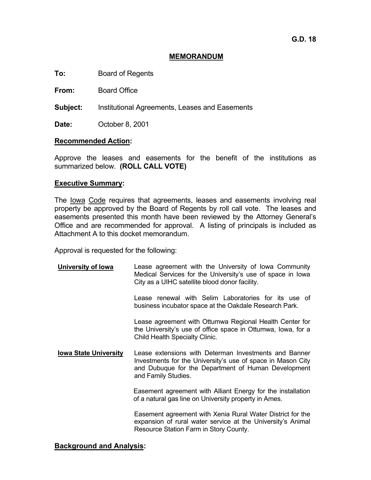## **MEMORANDUM**

**To:** Board of Regents

**From:** Board Office

**Subject:** Institutional Agreements, Leases and Easements

**Date:** October 8, 2001

### **Recommended Action:**

Approve the leases and easements for the benefit of the institutions as summarized below. **(ROLL CALL VOTE)**

### **Executive Summary:**

The Iowa Code requires that agreements, leases and easements involving real property be approved by the Board of Regents by roll call vote. The leases and easements presented this month have been reviewed by the Attorney General's Office and are recommended for approval. A listing of principals is included as Attachment A to this docket memorandum.

Approval is requested for the following:

**University of Iowa** Lease agreement with the University of Iowa Community Medical Services for the University's use of space in Iowa City as a UIHC satellite blood donor facility. Lease renewal with Selim Laboratories for its use of business incubator space at the Oakdale Research Park. Lease agreement with Ottumwa Regional Health Center for the University's use of office space in Ottumwa, Iowa, for a Child Health Specialty Clinic. **Iowa State University** Lease extensions with Determan Investments and Banner Investments for the University's use of space in Mason City and Dubuque for the Department of Human Development and Family Studies. Easement agreement with Alliant Energy for the installation of a natural gas line on University property in Ames. Easement agreement with Xenia Rural Water District for the expansion of rural water service at the University's Animal Resource Station Farm in Story County.

### **Background and Analysis:**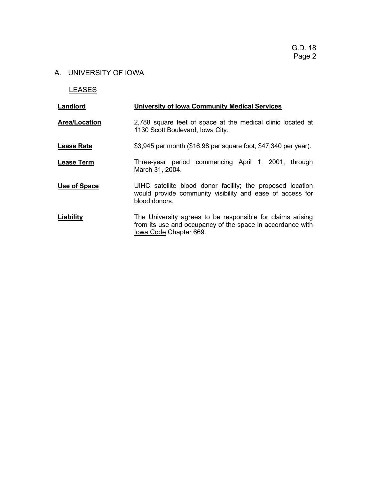## A. UNIVERSITY OF IOWA

LEASES

| Landlord             | <b>University of Iowa Community Medical Services</b>                                                                                               |
|----------------------|----------------------------------------------------------------------------------------------------------------------------------------------------|
| <b>Area/Location</b> | 2,788 square feet of space at the medical clinic located at<br>1130 Scott Boulevard, Iowa City.                                                    |
| <b>Lease Rate</b>    | \$3,945 per month (\$16.98 per square foot, \$47,340 per year).                                                                                    |
| <b>Lease Term</b>    | Three-year period commencing April 1, 2001, through<br>March 31, 2004.                                                                             |
| Use of Space         | UIHC satellite blood donor facility; the proposed location<br>would provide community visibility and ease of access for<br>blood donors.           |
| Liability            | The University agrees to be responsible for claims arising<br>from its use and occupancy of the space in accordance with<br>lowa Code Chapter 669. |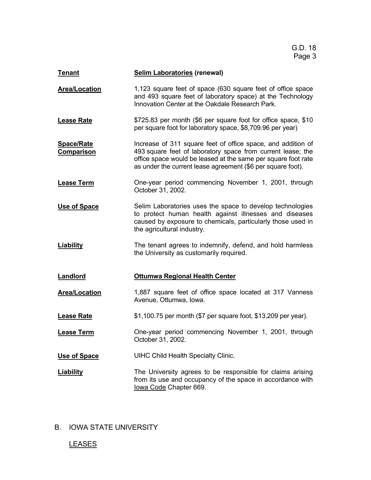| <b>Tenant</b>                          | <b>Selim Laboratories (renewal)</b>                                                                                                                                                                                                                         |
|----------------------------------------|-------------------------------------------------------------------------------------------------------------------------------------------------------------------------------------------------------------------------------------------------------------|
| <b>Area/Location</b>                   | 1,123 square feet of space (630 square feet of office space<br>and 493 square feet of laboratory space) at the Technology<br>Innovation Center at the Oakdale Research Park.                                                                                |
| <b>Lease Rate</b>                      | \$725.83 per month (\$6 per square foot for office space, \$10<br>per square foot for laboratory space, \$8,709.96 per year)                                                                                                                                |
| <b>Space/Rate</b><br><b>Comparison</b> | Increase of 311 square feet of office space, and addition of<br>493 square feet of laboratory space from current lease; the<br>office space would be leased at the same per square foot rate<br>as under the current lease agreement (\$6 per square foot). |
| <b>Lease Term</b>                      | One-year period commencing November 1, 2001, through<br>October 31, 2002.                                                                                                                                                                                   |
| <b>Use of Space</b>                    | Selim Laboratories uses the space to develop technologies<br>to protect human health against illnesses and diseases<br>caused by exposure to chemicals, particularly those used in<br>the agricultural industry.                                            |
| <b>Liability</b>                       | The tenant agrees to indemnify, defend, and hold harmless<br>the University as customarily required.                                                                                                                                                        |
| Landlord                               | <b>Ottumwa Regional Health Center</b>                                                                                                                                                                                                                       |
| <b>Area/Location</b>                   | 1,887 square feet of office space located at 317 Vanness<br>Avenue, Ottumwa, Iowa.                                                                                                                                                                          |
| <b>Lease Rate</b>                      | \$1,100.75 per month (\$7 per square foot, \$13,209 per year).                                                                                                                                                                                              |
| <b>Lease Term</b>                      | One-year period commencing November 1, 2001, through<br>October 31, 2002.                                                                                                                                                                                   |
| Use of Space                           | <b>UIHC Child Health Specialty Clinic.</b>                                                                                                                                                                                                                  |
| <b>Liability</b>                       | The University agrees to be responsible for claims arising<br>from its use and occupancy of the space in accordance with<br>lowa Code Chapter 669.                                                                                                          |

## B. IOWA STATE UNIVERSITY

## **LEASES**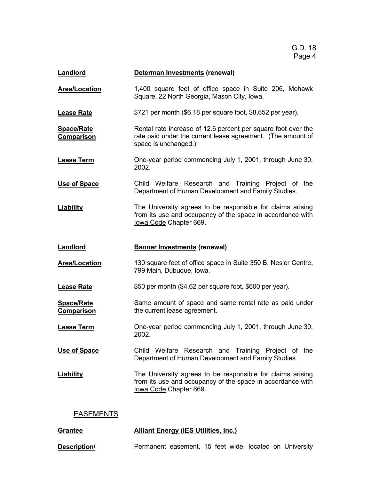| <b>Landlord</b>                 | Determan Investments (renewal)                                                                                                                       |
|---------------------------------|------------------------------------------------------------------------------------------------------------------------------------------------------|
| <b>Area/Location</b>            | 1,400 square feet of office space in Suite 206, Mohawk<br>Square, 22 North Georgia, Mason City, Iowa.                                                |
| <b>Lease Rate</b>               | \$721 per month (\$6.18 per square foot, \$8,652 per year).                                                                                          |
| <u>Space/Rate</u><br>Comparison | Rental rate increase of 12.6 percent per square foot over the<br>rate paid under the current lease agreement. (The amount of<br>space is unchanged.) |
| <b>Lease Term</b>               | One-year period commencing July 1, 2001, through June 30,<br>2002.                                                                                   |
| Use of Space                    | Child Welfare Research and Training Project of the<br>Department of Human Development and Family Studies.                                            |
| <b>Liability</b>                | The University agrees to be responsible for claims arising<br>from its use and occupancy of the space in accordance with<br>lowa Code Chapter 669.   |
| Landlord                        | <b>Banner Investments (renewal)</b>                                                                                                                  |
| <b>Area/Location</b>            | 130 square feet of office space in Suite 350 B, Nesler Centre,<br>799 Main, Dubuque, Iowa.                                                           |
| <b>Lease Rate</b>               | \$50 per month (\$4.62 per square foot, \$600 per year).                                                                                             |
| <b>Space/Rate</b><br>Comparison | Same amount of space and same rental rate as paid under<br>the current lease agreement.                                                              |
| <b>Lease Term</b>               | One-year period commencing July 1, 2001, through June 30,<br>2002.                                                                                   |
| <b>Use of Space</b>             | Child Welfare Research and Training Project of the<br>Department of Human Development and Family Studies.                                            |
| <b>Liability</b>                | The University agrees to be responsible for claims arising<br>from its use and occupancy of the space in accordance with<br>lowa Code Chapter 669.   |
| <b>EASEMENTS</b>                |                                                                                                                                                      |
| <b>Grantee</b>                  | <b>Alliant Energy (IES Utilities, Inc.)</b>                                                                                                          |

**Description/ Permanent easement, 15 feet wide, located on University**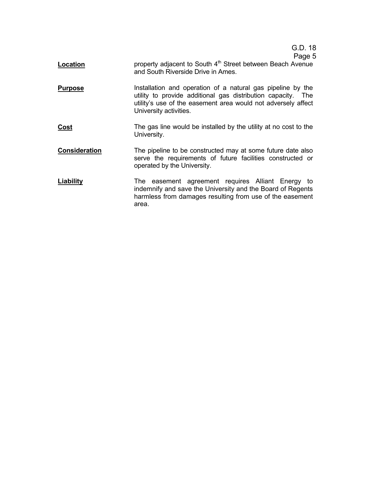G.D. 18

### Page 5

- **Location property adjacent to South 4<sup>th</sup> Street between Beach Avenue** and South Riverside Drive in Ames.
- **Purpose** Installation and operation of a natural gas pipeline by the utility to provide additional gas distribution capacity. The utility's use of the easement area would not adversely affect University activities.
- **Cost** The gas line would be installed by the utility at no cost to the University.
- **Consideration** The pipeline to be constructed may at some future date also serve the requirements of future facilities constructed or operated by the University.
- **Liability** The easement agreement requires Alliant Energy to indemnify and save the University and the Board of Regents harmless from damages resulting from use of the easement area.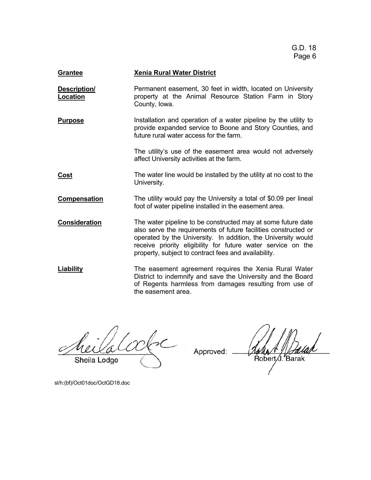| <b>Grantee</b>                  | <b>Xenia Rural Water District</b>                                                                                                                                                                                                                                                                                        |
|---------------------------------|--------------------------------------------------------------------------------------------------------------------------------------------------------------------------------------------------------------------------------------------------------------------------------------------------------------------------|
| Description/<br><b>Location</b> | Permanent easement, 30 feet in width, located on University<br>property at the Animal Resource Station Farm in Story<br>County, Iowa.                                                                                                                                                                                    |
| <u>Purpose</u>                  | Installation and operation of a water pipeline by the utility to<br>provide expanded service to Boone and Story Counties, and<br>future rural water access for the farm.                                                                                                                                                 |
|                                 | The utility's use of the easement area would not adversely<br>affect University activities at the farm.                                                                                                                                                                                                                  |
| <u>Cost</u>                     | The water line would be installed by the utility at no cost to the<br>University.                                                                                                                                                                                                                                        |
| Compensation                    | The utility would pay the University a total of \$0.09 per lineal<br>foot of water pipeline installed in the easement area.                                                                                                                                                                                              |
| <b>Consideration</b>            | The water pipeline to be constructed may at some future date<br>also serve the requirements of future facilities constructed or<br>operated by the University. In addition, the University would<br>receive priority eligibility for future water service on the<br>property, subject to contract fees and availability. |
| <b>Liability</b>                | The easement agreement requires the Xenia Rural Water<br>District to indemnify and save the University and the Board<br>of Regents harmless from damages resulting from use of<br>the easement area.                                                                                                                     |

 $2$ Sheila Lodge

Approved:

sl/h:(bf)/Oct01doc/OctGD18.doc